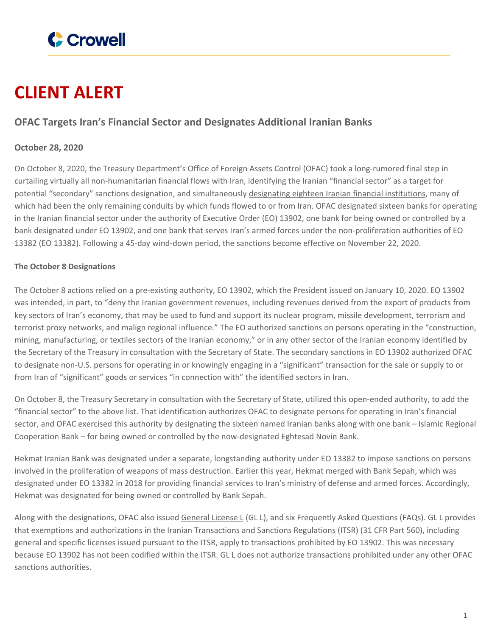

# **CLIENT ALERT**

## **OFAC Targets Iran's Financial Sector and Designates Additional Iranian Banks**

### **October 28, 2020**

On October 8, 2020, the Treasury Department's Office of Foreign Assets Control (OFAC) took a long-rumored final step in curtailing virtually all non-humanitarian financial flows with Iran, identifying the Iranian "financial sector" as a target for potential "secondary" sanctions designation, and simultaneously [designating](https://home.treasury.gov/news/press-releases/sm1147) eighteen Iranian financial institutions, many of which had been the only remaining conduits by which funds flowed to or from Iran. OFAC designated sixteen banks for operating in the Iranian financial sector under the authority of Executive Order (EO) 13902, one bank for being owned or controlled by a bank designated under EO 13902, and one bank that serves Iran's armed forces under the non-proliferation authorities of EO 13382 (EO 13382). Following a 45-day wind-down period, the sanctions become effective on November 22, 2020.

#### **The October 8 Designations**

The October 8 actions relied on a pre-existing authority, EO 13902, which the President issued on January 10, 2020. EO 13902 was intended, in part, to "deny the Iranian government revenues, including revenues derived from the export of products from key sectors of Iran's economy, that may be used to fund and support its nuclear program, missile development, terrorism and terrorist proxy networks, and malign regional influence." The EO authorized sanctions on persons operating in the "construction, mining, manufacturing, or textiles sectors of the Iranian economy," or in any other sector of the Iranian economy identified by the Secretary of the Treasury in consultation with the Secretary of State. The secondary sanctions in EO 13902 authorized OFAC to designate non-U.S. persons for operating in or knowingly engaging in a "significant" transaction for the sale or supply to or from Iran of "significant" goods or services "in connection with" the identified sectors in Iran.

On October 8, the Treasury Secretary in consultation with the Secretary of State, utilized this open-ended authority, to add the "financial sector" to the above list. That identification authorizes OFAC to designate persons for operating in Iran's financial sector, and OFAC exercised this authority by designating the sixteen named Iranian banks along with one bank – Islamic Regional Cooperation Bank – for being owned or controlled by the now-designated Eghtesad Novin Bank.

Hekmat Iranian Bank was designated under a separate, longstanding authority under EO 13382 to impose sanctions on persons involved in the proliferation of weapons of mass destruction. Earlier this year, Hekmat merged with Bank Sepah, which was designated under EO 13382 in 2018 for providing financial services to Iran's ministry of defense and armed forces. Accordingly, Hekmat was designated for being owned or controlled by Bank Sepah.

Along with the designations, OFAC also issued [General](https://home.treasury.gov/system/files/126/iran_gll.pdf) License L (GL L), and six Frequently Asked Questions (FAQs). GL L provides that exemptions and authorizations in the Iranian Transactions and Sanctions Regulations (ITSR) (31 CFR Part 560), including general and specific licenses issued pursuant to the ITSR, apply to transactions prohibited by EO 13902. This was necessary because EO 13902 has not been codified within the ITSR. GL L does not authorize transactions prohibited under any other OFAC sanctions authorities.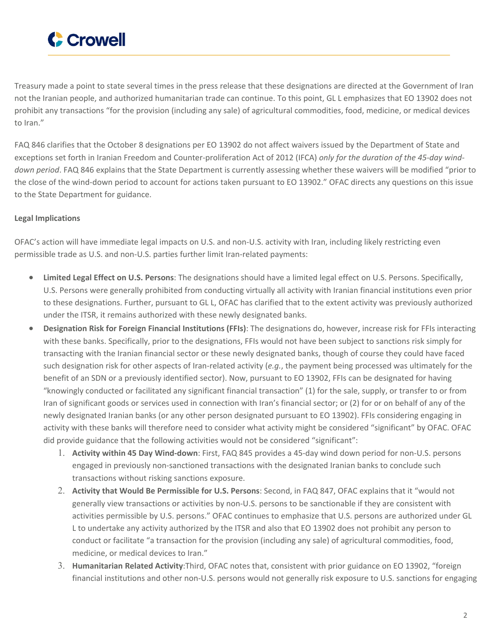

Treasury made a point to state several times in the press release that these designations are directed at the Government of Iran not the Iranian people, and authorized humanitarian trade can continue. To this point, GL L emphasizes that EO 13902 does not prohibit any transactions "for the provision (including any sale) of agricultural commodities, food, medicine, or medical devices to Iran."

FAQ 846 clarifies that the October 8 designations per EO 13902 do not affect waivers issued by the Department of State and exceptions set forth in Iranian Freedom and Counter-proliferation Act of 2012 (IFCA) *only for the duration of the 45-day winddown period*. FAQ 846 explains that the State Department is currently assessing whether these waivers will be modified "prior to the close of the wind-down period to account for actions taken pursuant to EO 13902." OFAC directs any questions on this issue to the State Department for guidance.

#### **Legal Implications**

OFAC's action will have immediate legal impacts on U.S. and non-U.S. activity with Iran, including likely restricting even permissible trade as U.S. and non-U.S. parties further limit Iran-related payments:

- **Limited Legal Effect on U.S. Persons**: The designations should have a limited legal effect on U.S. Persons. Specifically, U.S. Persons were generally prohibited from conducting virtually all activity with Iranian financial institutions even prior to these designations. Further, pursuant to GL L, OFAC has clarified that to the extent activity was previously authorized under the ITSR, it remains authorized with these newly designated banks.
- **Designation Risk for Foreign Financial Institutions (FFIs)**: The designations do, however, increase risk for FFIs interacting with these banks. Specifically, prior to the designations, FFIs would not have been subject to sanctions risk simply for transacting with the Iranian financial sector or these newly designated banks, though of course they could have faced such designation risk for other aspects of Iran-related activity (*e.g.*, the payment being processed was ultimately for the benefit of an SDN or a previously identified sector). Now, pursuant to EO 13902, FFIs can be designated for having "knowingly conducted or facilitated any significant financial transaction" (1) for the sale, supply, or transfer to or from Iran of significant goods or services used in connection with Iran's financial sector; or (2) for or on behalf of any of the newly designated Iranian banks (or any other person designated pursuant to EO 13902). FFIs considering engaging in activity with these banks will therefore need to consider what activity might be considered "significant" by OFAC. OFAC did provide guidance that the following activities would not be considered "significant":
	- 1. **Activity within 45 Day Wind-down**: First, FAQ 845 provides a 45-day wind down period for non-U.S. persons engaged in previously non-sanctioned transactions with the designated Iranian banks to conclude such transactions without risking sanctions exposure.
	- 2. **Activity that Would Be Permissible for U.S. Persons**: Second, in FAQ 847, OFAC explains that it "would not generally view transactions or activities by non-U.S. persons to be sanctionable if they are consistent with activities permissible by U.S. persons." OFAC continues to emphasize that U.S. persons are authorized under GL L to undertake any activity authorized by the ITSR and also that EO 13902 does not prohibit any person to conduct or facilitate "a transaction for the provision (including any sale) of agricultural commodities, food, medicine, or medical devices to Iran."
	- 3. **Humanitarian Related Activity**:Third, OFAC notes that, consistent with prior guidance on EO 13902, "foreign financial institutions and other non-U.S. persons would not generally risk exposure to U.S. sanctions for engaging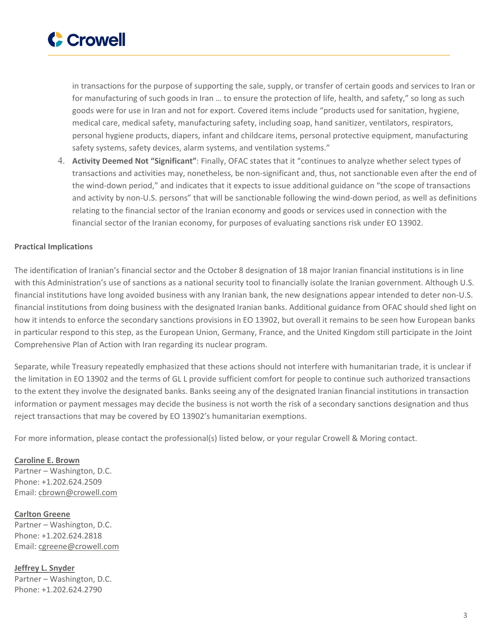

in transactions for the purpose of supporting the sale, supply, or transfer of certain goods and services to Iran or for manufacturing of such goods in Iran … to ensure the protection of life, health, and safety," so long as such goods were for use in Iran and not for export. Covered items include "products used for sanitation, hygiene, medical care, medical safety, manufacturing safety, including soap, hand sanitizer, ventilators, respirators, personal hygiene products, diapers, infant and childcare items, personal protective equipment, manufacturing safety systems, safety devices, alarm systems, and ventilation systems."

4. **Activity Deemed Not "Significant"**: Finally, OFAC states that it "continues to analyze whether select types of transactions and activities may, nonetheless, be non-significant and, thus, not sanctionable even after the end of the wind-down period," and indicates that it expects to issue additional guidance on "the scope of transactions and activity by non-U.S. persons" that will be sanctionable following the wind-down period, as well as definitions relating to the financial sector of the Iranian economy and goods or services used in connection with the financial sector of the Iranian economy, for purposes of evaluating sanctions risk under EO 13902.

#### **Practical Implications**

The identification of Iranian's financial sector and the October 8 designation of 18 major Iranian financial institutions is in line with this Administration's use of sanctions as a national security tool to financially isolate the Iranian government. Although U.S. financial institutions have long avoided business with any Iranian bank, the new designations appear intended to deter non-U.S. financial institutions from doing business with the designated Iranian banks. Additional guidance from OFAC should shed light on how it intends to enforce the secondary sanctions provisions in EO 13902, but overall it remains to be seen how European banks in particular respond to this step, as the European Union, Germany, France, and the United Kingdom still participate in the Joint Comprehensive Plan of Action with Iran regarding its nuclear program.

Separate, while Treasury repeatedly emphasized that these actions should not interfere with humanitarian trade, it is unclear if the limitation in EO 13902 and the terms of GL L provide sufficient comfort for people to continue such authorized transactions to the extent they involve the designated banks. Banks seeing any of the designated Iranian financial institutions in transaction information or payment messages may decide the business is not worth the risk of a secondary sanctions designation and thus reject transactions that may be covered by EO 13902's humanitarian exemptions.

For more information, please contact the professional(s) listed below, or your regular Crowell & Moring contact.

**[Caroline](https://www.crowell.com/professionals/Caroline-Brown) E. Brown** Partner – Washington, D.C. Phone: +1.202.624.2509 Email: [cbrown@crowell.com](mailto:cbrown@crowell.com)

**[Carlton](https://www.crowell.com/professionals/Carlton-Greene) Greene** Partner – Washington, D.C. Phone: +1.202.624.2818 Email: [cgreene@crowell.com](mailto:cgreene@crowell.com)

**Jeffrey L. [Snyder](https://www.crowell.com/professionals/Jeffrey-Snyder)** Partner – Washington, D.C. Phone: +1.202.624.2790